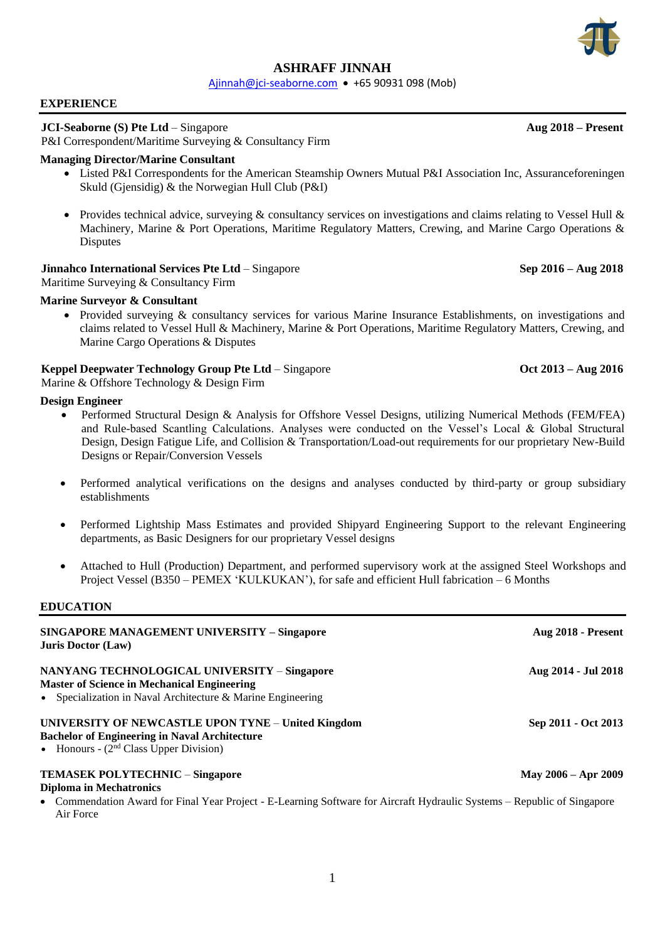# **ASHRAFF JINNAH**

[Ajinnah@jci-seaborne.com](mailto:Ajinnah@jci-seaborne.com) • +65 90931 098 (Mob)

### **EXPERIENCE**

### **JCI-Seaborne (S) Pte Ltd** – Singapore **Aug 2018 – Present**

P&I Correspondent/Maritime Surveying & Consultancy Firm

## **Managing Director/Marine Consultant**

- Listed P&I Correspondents for the American Steamship Owners Mutual P&I Association Inc, Assuranceforeningen Skuld (Gjensidig) & the Norwegian Hull Club (P&I)
- Provides technical advice, surveying  $\&$  consultancy services on investigations and claims relating to Vessel Hull  $\&$ Machinery, Marine & Port Operations, Maritime Regulatory Matters, Crewing, and Marine Cargo Operations & **Disputes**

## **Jinnahco International Services Pte Ltd** – Singapore **Sep 2016 – Aug 2018**

Maritime Surveying & Consultancy Firm

## **Marine Surveyor & Consultant**

• Provided surveying & consultancy services for various Marine Insurance Establishments, on investigations and claims related to Vessel Hull & Machinery, Marine & Port Operations, Maritime Regulatory Matters, Crewing, and Marine Cargo Operations & Disputes

## **Keppel Deepwater Technology Group Pte Ltd** – Singapore **Oct 2013** – Aug 2016

Marine & Offshore Technology & Design Firm

#### **Design Engineer**

- Performed Structural Design & Analysis for Offshore Vessel Designs, utilizing Numerical Methods (FEM/FEA) and Rule-based Scantling Calculations. Analyses were conducted on the Vessel's Local & Global Structural Design, Design Fatigue Life, and Collision & Transportation/Load-out requirements for our proprietary New-Build Designs or Repair/Conversion Vessels
- Performed analytical verifications on the designs and analyses conducted by third-party or group subsidiary establishments
- Performed Lightship Mass Estimates and provided Shipyard Engineering Support to the relevant Engineering departments, as Basic Designers for our proprietary Vessel designs
- Attached to Hull (Production) Department, and performed supervisory work at the assigned Steel Workshops and Project Vessel (B350 – PEMEX 'KULKUKAN'), for safe and efficient Hull fabrication – 6 Months

## **EDUCATION**

| <b>SINGAPORE MANAGEMENT UNIVERSITY - Singapore</b><br><b>Juris Doctor (Law)</b>                                                                                      | Aug 2018 - Present      |
|----------------------------------------------------------------------------------------------------------------------------------------------------------------------|-------------------------|
| NANYANG TECHNOLOGICAL UNIVERSITY - Singapore<br><b>Master of Science in Mechanical Engineering</b><br>• Specialization in Naval Architecture $\&$ Marine Engineering | Aug 2014 - Jul 2018     |
| UNIVERSITY OF NEWCASTLE UPON TYNE - United Kingdom<br><b>Bachelor of Engineering in Naval Architecture</b><br>• Honours - $(2nd Class Upper Division)$               | Sep 2011 - Oct 2013     |
| <b>TEMASEK POLYTECHNIC - Singapore</b><br><b>Diploma in Mechatronics</b>                                                                                             | May $2006 -$ Apr $2009$ |
| • Commendation Award for Final Year Project - E-Learning Software for Aircraft Hydraulic Systems – Republic of Singapore<br>Air Force                                |                         |

1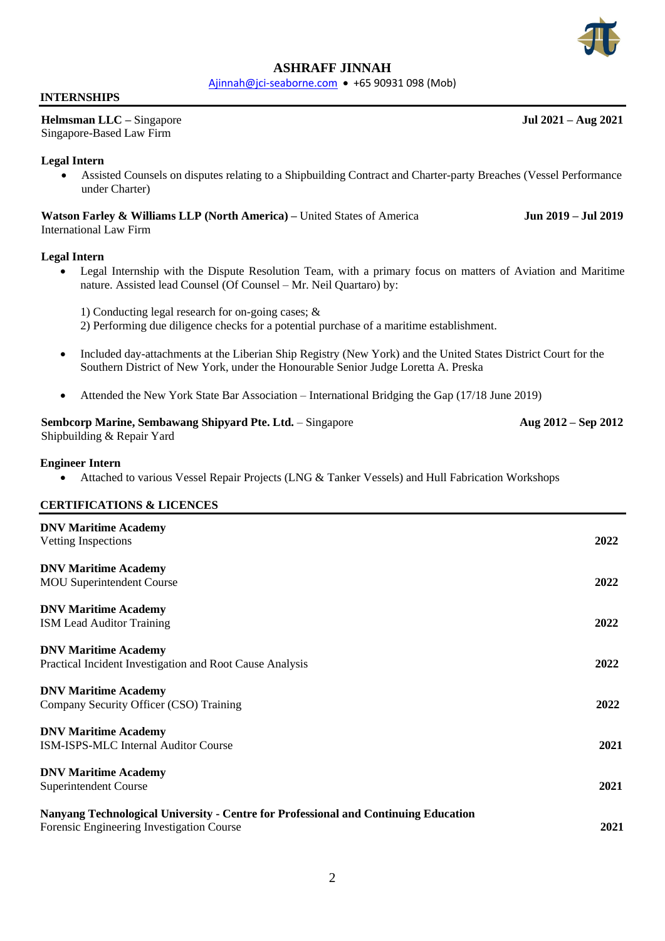

## **ASHRAFF JINNAH**

[Ajinnah@jci-seaborne.com](mailto:Ajinnah@jci-seaborne.com) • +65 90931 098 (Mob)

#### **INTERNSHIPS**

**Helmsman LLC –** Singapore **Jul 2021 – Aug 2021** Singapore-Based Law Firm

## **Legal Intern**

• Assisted Counsels on disputes relating to a Shipbuilding Contract and Charter-party Breaches (Vessel Performance under Charter)

## **Watson Farley & Williams LLP (North America) –** United States of America **Jun 2019 – Jul 2019** International Law Firm

#### **Legal Intern**

• Legal Internship with the Dispute Resolution Team, with a primary focus on matters of Aviation and Maritime nature. Assisted lead Counsel (Of Counsel – Mr. Neil Quartaro) by:

1) Conducting legal research for on-going cases; &

- 2) Performing due diligence checks for a potential purchase of a maritime establishment.
- Included day-attachments at the Liberian Ship Registry (New York) and the United States District Court for the Southern District of New York, under the Honourable Senior Judge Loretta A. Preska
- Attended the New York State Bar Association International Bridging the Gap (17/18 June 2019)

#### **Sembcorp Marine, Sembawang Shipyard Pte. Ltd. – Singapore <b>Aug 2012** – Aug 2012 – Sep 2012 Shipbuilding & Repair Yard

## **Engineer Intern**

• Attached to various Vessel Repair Projects (LNG & Tanker Vessels) and Hull Fabrication Workshops

## **CERTIFICATIONS & LICENCES**

| <b>DNV Maritime Academy</b><br>Vetting Inspections                                                                               | 2022 |
|----------------------------------------------------------------------------------------------------------------------------------|------|
| <b>DNV Maritime Academy</b><br><b>MOU</b> Superintendent Course                                                                  | 2022 |
| <b>DNV Maritime Academy</b><br><b>ISM Lead Auditor Training</b>                                                                  | 2022 |
| <b>DNV Maritime Academy</b><br>Practical Incident Investigation and Root Cause Analysis                                          | 2022 |
| <b>DNV Maritime Academy</b><br>Company Security Officer (CSO) Training                                                           | 2022 |
| <b>DNV Maritime Academy</b><br><b>ISM-ISPS-MLC Internal Auditor Course</b>                                                       | 2021 |
| <b>DNV Maritime Academy</b><br>Superintendent Course                                                                             | 2021 |
| Nanyang Technological University - Centre for Professional and Continuing Education<br>Forensic Engineering Investigation Course | 2021 |